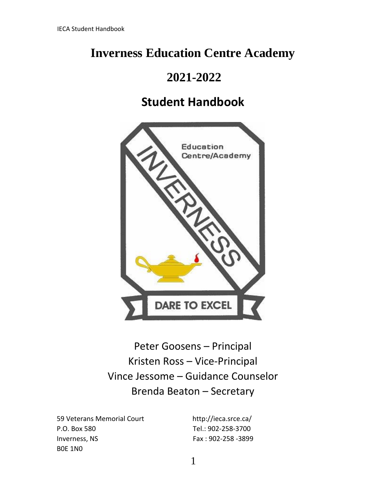# **Inverness Education Centre Academy**

# **2021-2022**

# **Student Handbook**



Peter Goosens – Principal Kristen Ross – Vice-Principal Vince Jessome – Guidance Counselor Brenda Beaton – Secretary

59 Veterans Memorial Court http://ieca.srce.ca/ P.O. Box 580 Tel.: 902-258-3700 Inverness, NS Fax : 902-258 -3899 B0E 1N0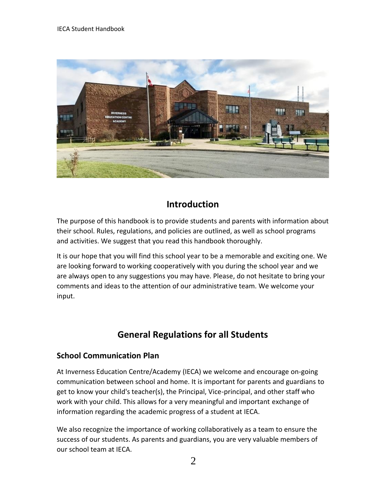

## **Introduction**

The purpose of this handbook is to provide students and parents with information about their school. Rules, regulations, and policies are outlined, as well as school programs and activities. We suggest that you read this handbook thoroughly.

It is our hope that you will find this school year to be a memorable and exciting one. We are looking forward to working cooperatively with you during the school year and we are always open to any suggestions you may have. Please, do not hesitate to bring your comments and ideas to the attention of our administrative team. We welcome your input.

## **General Regulations for all Students**

## **School Communication Plan**

At Inverness Education Centre/Academy (IECA) we welcome and encourage on-going communication between school and home. It is important for parents and guardians to get to know your child's teacher(s), the Principal, Vice-principal, and other staff who work with your child. This allows for a very meaningful and important exchange of information regarding the academic progress of a student at IECA.

We also recognize the importance of working collaboratively as a team to ensure the success of our students. As parents and guardians, you are very valuable members of our school team at IECA.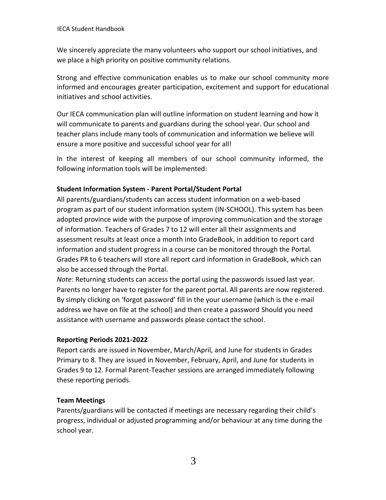We sincerely appreciate the many volunteers who support our school initiatives, and we place a high priority on positive community relations.

Strong and effective communication enables us to make our school community more informed and encourages greater participation, excitement and support for educational initiatives and school activities.

Our IECA communication plan will outline information on student learning and how it will communicate to parents and guardians during the school year. Our school and teacher plans include many tools of communication and information we believe will ensure a more positive and successful school year for all!

In the interest of keeping all members of our school community informed, the following information tools will be implemented:

#### **Student Information System - Parent Portal/Student Portal**

All parents/guardians/students can access student information on a web-based program as part of our student information system (IN-SCHOOL). This system has been adopted province wide with the purpose of improving communication and the storage of information. Teachers of Grades 7 to 12 will enter all their assignments and assessment results at least once a month into GradeBook, in addition to report card information and student progress in a course can be monitored through the Portal. Grades PR to 6 teachers will store all report card information in GradeBook, which can also be accessed through the Portal.

*Note*: Returning students can access the portal using the passwords issued last year. Parents no longer have to register for the parent portal. All parents are now registered. By simply clicking on 'forgot password' fill in the your username (which is the e-mail address we have on file at the school) and then create a password Should you need assistance with username and passwords please contact the school.

#### **Reporting Periods 2021-2022**

Report cards are issued in November, March/April, and June for students in Grades Primary to 8. They are issued in November, February, April, and June for students in Grades 9 to 12. Formal Parent-Teacher sessions are arranged immediately following these reporting periods.

#### **Team Meetings**

Parents/guardians will be contacted if meetings are necessary regarding their child's progress, individual or adjusted programming and/or behaviour at any time during the school year.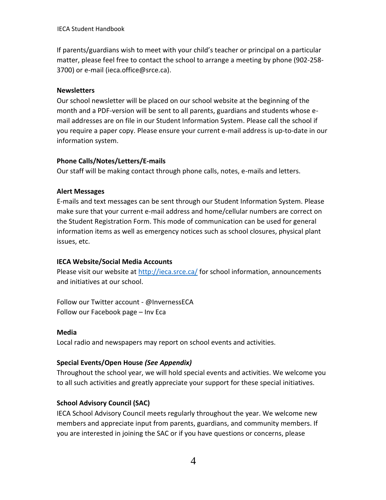IECA Student Handbook

If parents/guardians wish to meet with your child's teacher or principal on a particular matter, please feel free to contact the school to arrange a meeting by phone (902-258- 3700) or e-mail (ieca.office@srce.ca).

#### **Newsletters**

Our school newsletter will be placed on our school website at the beginning of the month and a PDF-version will be sent to all parents, guardians and students whose email addresses are on file in our Student Information System. Please call the school if you require a paper copy. Please ensure your current e-mail address is up-to-date in our information system.

#### **Phone Calls/Notes/Letters/E-mails**

Our staff will be making contact through phone calls, notes, e-mails and letters.

#### **Alert Messages**

E-mails and text messages can be sent through our Student Information System. Please make sure that your current e-mail address and home/cellular numbers are correct on the Student Registration Form. This mode of communication can be used for general information items as well as emergency notices such as school closures, physical plant issues, etc.

#### **IECA Website/Social Media Accounts**

Please visit our website at<http://ieca.srce.ca/> for school information, announcements and initiatives at our school.

Follow our Twitter account - @InvernessECA Follow our Facebook page – Inv Eca

#### **Media**

Local radio and newspapers may report on school events and activities.

#### **Special Events/Open House** *(See Appendix)*

Throughout the school year, we will hold special events and activities. We welcome you to all such activities and greatly appreciate your support for these special initiatives.

#### **School Advisory Council (SAC)**

IECA School Advisory Council meets regularly throughout the year. We welcome new members and appreciate input from parents, guardians, and community members. If you are interested in joining the SAC or if you have questions or concerns, please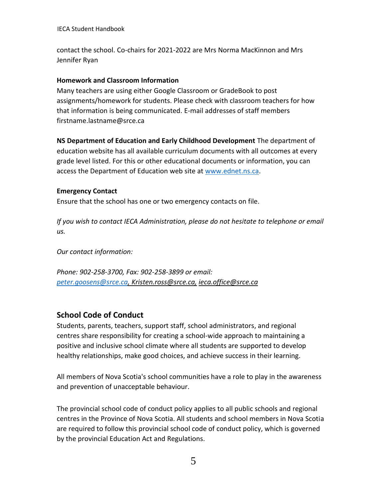IECA Student Handbook

contact the school. Co-chairs for 2021-2022 are Mrs Norma MacKinnon and Mrs Jennifer Ryan

#### **Homework and Classroom Information**

Many teachers are using either Google Classroom or GradeBook to post assignments/homework for students. Please check with classroom teachers for how that information is being communicated. E-mail addresses of staff members firstname.lastname@srce.ca

**NS Department of Education and Early Childhood Development** The department of education website has all available curriculum documents with all outcomes at every grade level listed. For this or other educational documents or information, you can access the Department of Education web site at [www.ednet.ns.ca.](http://www.ednet.ns.ca/)

#### **Emergency Contact**

Ensure that the school has one or two emergency contacts on file.

*If you wish to contact IECA Administration, please do not hesitate to telephone or email us.*

*Our contact information:*

*Phone: 902-258-3700, Fax: 902-258-3899 or email: [peter.goosens@srce.ca,](mailto:peter.goosens@srce.ca) Kristen.ross@srce.ca, ieca.office@srce.ca*

### **School Code of Conduct**

Students, parents, teachers, support staff, school administrators, and regional centres share responsibility for creating a school-wide approach to maintaining a positive and inclusive school climate where all students are supported to develop healthy relationships, make good choices, and achieve success in their learning.

All members of Nova Scotia's school communities have a role to play in the awareness and prevention of unacceptable behaviour.

The provincial school code of conduct policy applies to all public schools and regional centres in the Province of Nova Scotia. All students and school members in Nova Scotia are required to follow this provincial school code of conduct policy, which is governed by the provincial Education Act and Regulations.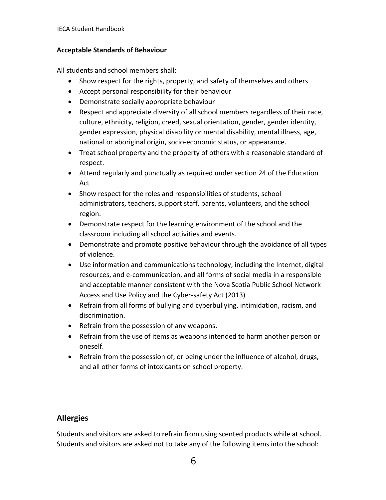#### **Acceptable Standards of Behaviour**

All students and school members shall:

- Show respect for the rights, property, and safety of themselves and others
- Accept personal responsibility for their behaviour
- Demonstrate socially appropriate behaviour
- Respect and appreciate diversity of all school members regardless of their race, culture, ethnicity, religion, creed, sexual orientation, gender, gender identity, gender expression, physical disability or mental disability, mental illness, age, national or aboriginal origin, socio-economic status, or appearance.
- Treat school property and the property of others with a reasonable standard of respect.
- Attend regularly and punctually as required under section 24 of the Education Act
- Show respect for the roles and responsibilities of students, school administrators, teachers, support staff, parents, volunteers, and the school region.
- Demonstrate respect for the learning environment of the school and the classroom including all school activities and events.
- Demonstrate and promote positive behaviour through the avoidance of all types of violence.
- Use information and communications technology, including the Internet, digital resources, and e-communication, and all forms of social media in a responsible and acceptable manner consistent with the Nova Scotia Public School Network Access and Use Policy and the Cyber-safety Act (2013)
- Refrain from all forms of bullying and cyberbullying, intimidation, racism, and discrimination.
- Refrain from the possession of any weapons.
- Refrain from the use of items as weapons intended to harm another person or oneself.
- Refrain from the possession of, or being under the influence of alcohol, drugs, and all other forms of intoxicants on school property.

## **Allergies**

Students and visitors are asked to refrain from using scented products while at school. Students and visitors are asked not to take any of the following items into the school: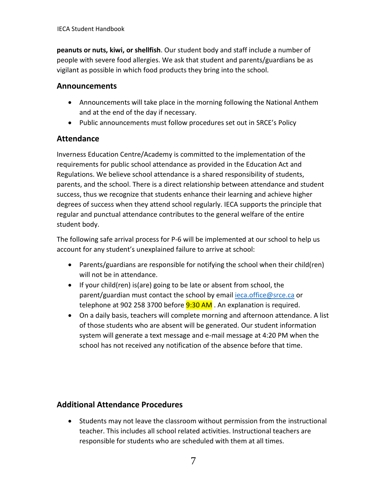**peanuts or nuts, kiwi, or shellfish**. Our student body and staff include a number of people with severe food allergies. We ask that student and parents/guardians be as vigilant as possible in which food products they bring into the school.

## **Announcements**

- Announcements will take place in the morning following the National Anthem and at the end of the day if necessary.
- Public announcements must follow procedures set out in SRCE's Policy

## **Attendance**

Inverness Education Centre/Academy is committed to the implementation of the requirements for public school attendance as provided in the Education Act and Regulations. We believe school attendance is a shared responsibility of students, parents, and the school. There is a direct relationship between attendance and student success, thus we recognize that students enhance their learning and achieve higher degrees of success when they attend school regularly. IECA supports the principle that regular and punctual attendance contributes to the general welfare of the entire student body.

The following safe arrival process for P-6 will be implemented at our school to help us account for any student's unexplained failure to arrive at school:

- Parents/guardians are responsible for notifying the school when their child(ren) will not be in attendance.
- If your child(ren) is(are) going to be late or absent from school, the parent/guardian must contact the school by emai[l ieca.office@srce.ca](mailto:ieca.office@srce.ca) or telephone at 902 258 3700 before  $9:30$  AM. An explanation is required.
- On a daily basis, teachers will complete morning and afternoon attendance. A list of those students who are absent will be generated. Our student information system will generate a text message and e-mail message at 4:20 PM when the school has not received any notification of the absence before that time.

## **Additional Attendance Procedures**

• Students may not leave the classroom without permission from the instructional teacher. This includes all school related activities. Instructional teachers are responsible for students who are scheduled with them at all times.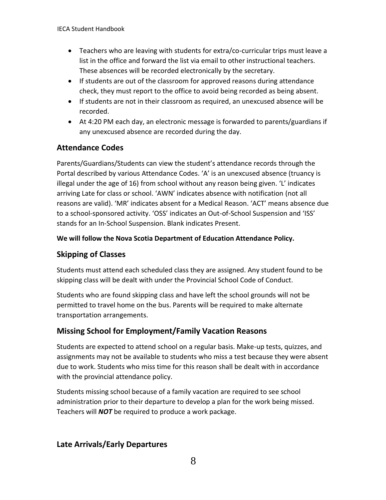- Teachers who are leaving with students for extra/co-curricular trips must leave a list in the office and forward the list via email to other instructional teachers. These absences will be recorded electronically by the secretary.
- If students are out of the classroom for approved reasons during attendance check, they must report to the office to avoid being recorded as being absent.
- If students are not in their classroom as required, an unexcused absence will be recorded.
- At 4:20 PM each day, an electronic message is forwarded to parents/guardians if any unexcused absence are recorded during the day.

## **Attendance Codes**

Parents/Guardians/Students can view the student's attendance records through the Portal described by various Attendance Codes. 'A' is an unexcused absence (truancy is illegal under the age of 16) from school without any reason being given. 'L' indicates arriving Late for class or school. 'AWN' indicates absence with notification (not all reasons are valid). 'MR' indicates absent for a Medical Reason. 'ACT' means absence due to a school-sponsored activity. 'OSS' indicates an Out-of-School Suspension and 'ISS' stands for an In-School Suspension. Blank indicates Present.

#### **We will follow the Nova Scotia Department of Education Attendance Policy.**

## **Skipping of Classes**

Students must attend each scheduled class they are assigned. Any student found to be skipping class will be dealt with under the Provincial School Code of Conduct.

Students who are found skipping class and have left the school grounds will not be permitted to travel home on the bus. Parents will be required to make alternate transportation arrangements.

## **Missing School for Employment/Family Vacation Reasons**

Students are expected to attend school on a regular basis. Make-up tests, quizzes, and assignments may not be available to students who miss a test because they were absent due to work. Students who miss time for this reason shall be dealt with in accordance with the provincial attendance policy.

Students missing school because of a family vacation are required to see school administration prior to their departure to develop a plan for the work being missed. Teachers will *NOT* be required to produce a work package.

## **Late Arrivals/Early Departures**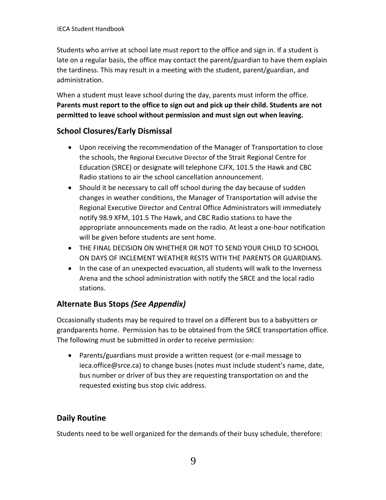Students who arrive at school late must report to the office and sign in. If a student is late on a regular basis, the office may contact the parent/guardian to have them explain the tardiness. This may result in a meeting with the student, parent/guardian, and administration.

When a student must leave school during the day, parents must inform the office. **Parents must report to the office to sign out and pick up their child. Students are not permitted to leave school without permission and must sign out when leaving.**

## **School Closures/Early Dismissal**

- Upon receiving the recommendation of the Manager of Transportation to close the schools, the Regional Executive Director of the Strait Regional Centre for Education (SRCE) or designate will telephone CJFX, 101.5 the Hawk and CBC Radio stations to air the school cancellation announcement.
- Should it be necessary to call off school during the day because of sudden changes in weather conditions, the Manager of Transportation will advise the Regional Executive Director and Central Office Administrators will immediately notify 98.9 XFM, 101.5 The Hawk, and CBC Radio stations to have the appropriate announcements made on the radio. At least a one-hour notification will be given before students are sent home.
- THE FINAL DECISION ON WHETHER OR NOT TO SEND YOUR CHILD TO SCHOOL ON DAYS OF INCLEMENT WEATHER RESTS WITH THE PARENTS OR GUARDIANS.
- In the case of an unexpected evacuation, all students will walk to the Inverness Arena and the school administration with notify the SRCE and the local radio stations.

## **Alternate Bus Stops** *(See Appendix)*

Occasionally students may be required to travel on a different bus to a babysitters or grandparents home. Permission has to be obtained from the SRCE transportation office. The following must be submitted in order to receive permission:

• Parents/guardians must provide a written request (or e-mail message to ieca.office@srce.ca) to change buses (notes must include student's name, date, bus number or driver of bus they are requesting transportation on and the requested existing bus stop civic address.

## **Daily Routine**

Students need to be well organized for the demands of their busy schedule, therefore: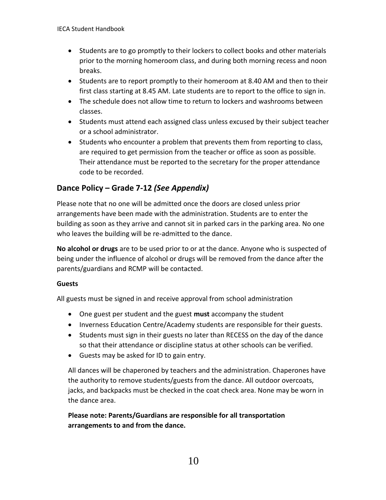- Students are to go promptly to their lockers to collect books and other materials prior to the morning homeroom class, and during both morning recess and noon breaks.
- Students are to report promptly to their homeroom at 8.40 AM and then to their first class starting at 8.45 AM. Late students are to report to the office to sign in.
- The schedule does not allow time to return to lockers and washrooms between classes.
- Students must attend each assigned class unless excused by their subject teacher or a school administrator.
- Students who encounter a problem that prevents them from reporting to class, are required to get permission from the teacher or office as soon as possible. Their attendance must be reported to the secretary for the proper attendance code to be recorded.

## **Dance Policy – Grade 7-12** *(See Appendix)*

Please note that no one will be admitted once the doors are closed unless prior arrangements have been made with the administration. Students are to enter the building as soon as they arrive and cannot sit in parked cars in the parking area. No one who leaves the building will be re-admitted to the dance.

**No alcohol or drugs** are to be used prior to or at the dance. Anyone who is suspected of being under the influence of alcohol or drugs will be removed from the dance after the parents/guardians and RCMP will be contacted.

#### **Guests**

All guests must be signed in and receive approval from school administration

- One guest per student and the guest **must** accompany the student
- Inverness Education Centre/Academy students are responsible for their guests.
- Students must sign in their guests no later than RECESS on the day of the dance so that their attendance or discipline status at other schools can be verified.
- Guests may be asked for ID to gain entry.

All dances will be chaperoned by teachers and the administration. Chaperones have the authority to remove students/guests from the dance. All outdoor overcoats, jacks, and backpacks must be checked in the coat check area. None may be worn in the dance area.

### **Please note: Parents/Guardians are responsible for all transportation arrangements to and from the dance.**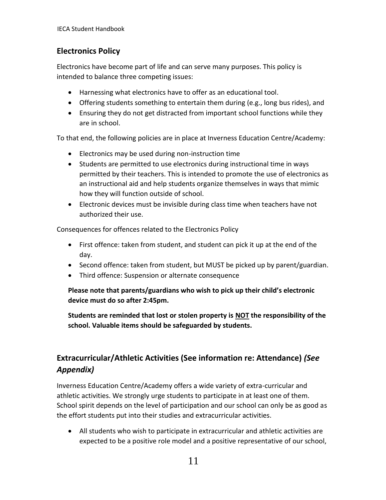## **Electronics Policy**

Electronics have become part of life and can serve many purposes. This policy is intended to balance three competing issues:

- Harnessing what electronics have to offer as an educational tool.
- Offering students something to entertain them during (e.g., long bus rides), and
- Ensuring they do not get distracted from important school functions while they are in school.

To that end, the following policies are in place at Inverness Education Centre/Academy:

- Electronics may be used during non-instruction time
- Students are permitted to use electronics during instructional time in ways permitted by their teachers. This is intended to promote the use of electronics as an instructional aid and help students organize themselves in ways that mimic how they will function outside of school.
- Electronic devices must be invisible during class time when teachers have not authorized their use.

Consequences for offences related to the Electronics Policy

- First offence: taken from student, and student can pick it up at the end of the day.
- Second offence: taken from student, but MUST be picked up by parent/guardian.
- Third offence: Suspension or alternate consequence

**Please note that parents/guardians who wish to pick up their child's electronic device must do so after 2:45pm.**

**Students are reminded that lost or stolen property is NOT the responsibility of the school. Valuable items should be safeguarded by students.**

## **Extracurricular/Athletic Activities (See information re: Attendance)** *(See Appendix)*

Inverness Education Centre/Academy offers a wide variety of extra-curricular and athletic activities. We strongly urge students to participate in at least one of them. School spirit depends on the level of participation and our school can only be as good as the effort students put into their studies and extracurricular activities.

• All students who wish to participate in extracurricular and athletic activities are expected to be a positive role model and a positive representative of our school,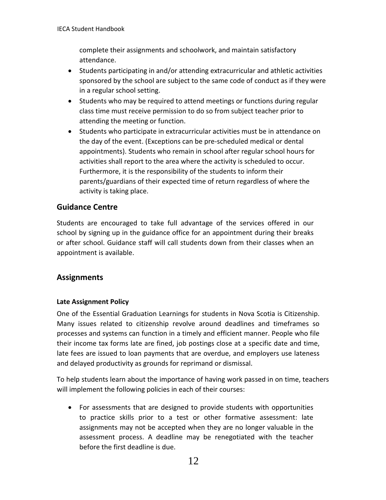complete their assignments and schoolwork, and maintain satisfactory attendance.

- Students participating in and/or attending extracurricular and athletic activities sponsored by the school are subject to the same code of conduct as if they were in a regular school setting.
- Students who may be required to attend meetings or functions during regular class time must receive permission to do so from subject teacher prior to attending the meeting or function.
- Students who participate in extracurricular activities must be in attendance on the day of the event. (Exceptions can be pre-scheduled medical or dental appointments). Students who remain in school after regular school hours for activities shall report to the area where the activity is scheduled to occur. Furthermore, it is the responsibility of the students to inform their parents/guardians of their expected time of return regardless of where the activity is taking place.

### **Guidance Centre**

Students are encouraged to take full advantage of the services offered in our school by signing up in the guidance office for an appointment during their breaks or after school. Guidance staff will call students down from their classes when an appointment is available.

### **Assignments**

#### **Late Assignment Policy**

One of the Essential Graduation Learnings for students in Nova Scotia is Citizenship. Many issues related to citizenship revolve around deadlines and timeframes so processes and systems can function in a timely and efficient manner. People who file their income tax forms late are fined, job postings close at a specific date and time, late fees are issued to loan payments that are overdue, and employers use lateness and delayed productivity as grounds for reprimand or dismissal.

To help students learn about the importance of having work passed in on time, teachers will implement the following policies in each of their courses:

• For assessments that are designed to provide students with opportunities to practice skills prior to a test or other formative assessment: late assignments may not be accepted when they are no longer valuable in the assessment process. A deadline may be renegotiated with the teacher before the first deadline is due.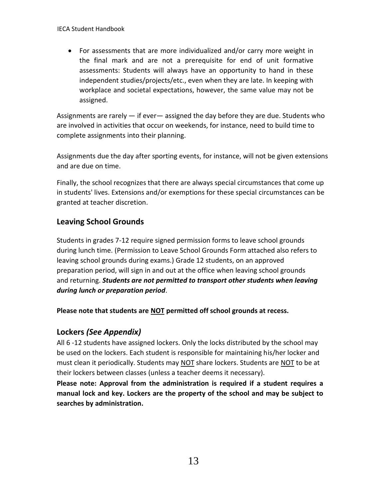• For assessments that are more individualized and/or carry more weight in the final mark and are not a prerequisite for end of unit formative assessments: Students will always have an opportunity to hand in these independent studies/projects/etc., even when they are late. In keeping with workplace and societal expectations, however, the same value may not be assigned.

Assignments are rarely — if ever— assigned the day before they are due. Students who are involved in activities that occur on weekends, for instance, need to build time to complete assignments into their planning.

Assignments due the day after sporting events, for instance, will not be given extensions and are due on time.

Finally, the school recognizes that there are always special circumstances that come up in students' lives. Extensions and/or exemptions for these special circumstances can be granted at teacher discretion.

## **Leaving School Grounds**

Students in grades 7-12 require signed permission forms to leave school grounds during lunch time. (Permission to Leave School Grounds Form attached also refers to leaving school grounds during exams.) Grade 12 students, on an approved preparation period, will sign in and out at the office when leaving school grounds and returning. *Students are not permitted to transport other students when leaving during lunch or preparation period*.

**Please note that students are NOT permitted off school grounds at recess.**

## **Lockers** *(See Appendix)*

All 6 -12 students have assigned lockers. Only the locks distributed by the school may be used on the lockers. Each student is responsible for maintaining his/her locker and must clean it periodically. Students may NOT share lockers. Students are NOT to be at their lockers between classes (unless a teacher deems it necessary).

**Please note: Approval from the administration is required if a student requires a manual lock and key. Lockers are the property of the school and may be subject to searches by administration.**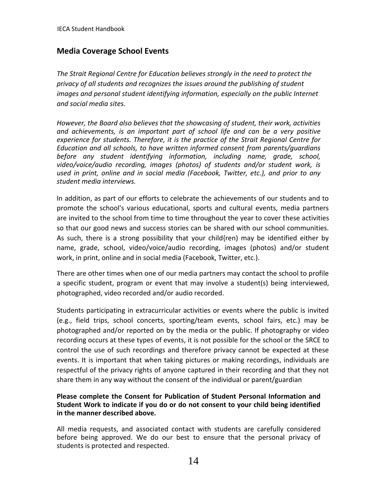## **Media Coverage School Events**

*The Strait Regional Centre for Education believes strongly in the need to protect the privacy of all students and recognizes the issues around the publishing of student*  images and personal student identifying information, especially on the public Internet *and social media sites.*

*However, the Board also believes that the showcasing of student, their work, activities and achievements, is an important part of school life and can be a very positive experience for students. Therefore, it is the practice of the Strait Regional Centre for Education and all schools, to have written informed consent from parents/guardians before any student identifying information, including name, grade, school, video/voice/audio recording, images (photos) of students and/or student work, is used in print, online and in social media (Facebook, Twitter, etc.), and prior to any student media interviews.*

In addition, as part of our efforts to celebrate the achievements of our students and to promote the school's various educational, sports and cultural events, media partners are invited to the school from time to time throughout the year to cover these activities so that our good news and success stories can be shared with our school communities. As such, there is a strong possibility that your child{ren) may be identified either by name, grade, school, video/voice/audio recording, images (photos) and/or student work, in print, online and in social media (Facebook, Twitter, etc.).

There are other times when one of our media partners may contact the school to profile a specific student, program or event that may involve a student(s) being interviewed, photographed, video recorded and/or audio recorded.

Students participating in extracurricular activities or events where the public is invited (e.g., field trips, school concerts, sporting/team events, school fairs, etc.) may be photographed and/or reported on by the media or the public. If photography or video recording occurs at these types of events, it is not possible for the school or the SRCE to control the use of such recordings and therefore privacy cannot be expected at these events. It is important that when taking pictures or making recordings, individuals are respectful of the privacy rights of anyone captured in their recording and that they not share them in any way without the consent of the individual or parent/guardian

#### **Please complete the Consent for Publication of Student Personal Information and Student Work to indicate if you do or do not consent to your child being identified in the manner described above.**

All media requests, and associated contact with students are carefully considered before being approved. We do our best to ensure that the personal privacy of students is protected and respected.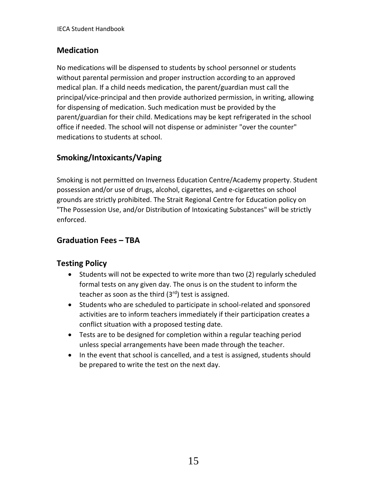## **Medication**

No medications will be dispensed to students by school personnel or students without parental permission and proper instruction according to an approved medical plan. If a child needs medication, the parent/guardian must call the principal/vice-principal and then provide authorized permission, in writing, allowing for dispensing of medication. Such medication must be provided by the parent/guardian for their child. Medications may be kept refrigerated in the school office if needed. The school will not dispense or administer "over the counter" medications to students at school.

## **Smoking/Intoxicants/Vaping**

Smoking is not permitted on Inverness Education Centre/Academy property. Student possession and/or use of drugs, alcohol, cigarettes, and e-cigarettes on school grounds are strictly prohibited. The Strait Regional Centre for Education policy on "The Possession Use, and/or Distribution of Intoxicating Substances" will be strictly enforced.

## **Graduation Fees – TBA**

## **Testing Policy**

- Students will not be expected to write more than two (2) regularly scheduled formal tests on any given day. The onus is on the student to inform the teacher as soon as the third  $(3<sup>rd</sup>)$  test is assigned.
- Students who are scheduled to participate in school-related and sponsored activities are to inform teachers immediately if their participation creates a conflict situation with a proposed testing date.
- Tests are to be designed for completion within a regular teaching period unless special arrangements have been made through the teacher.
- In the event that school is cancelled, and a test is assigned, students should be prepared to write the test on the next day.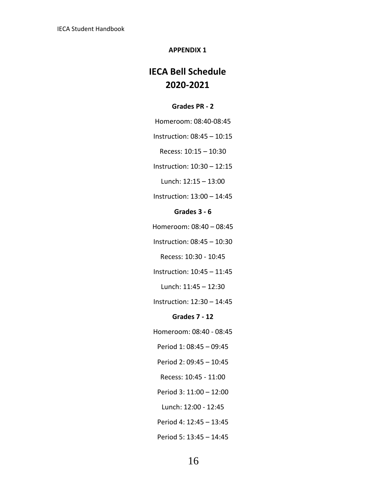#### **APPENDIX 1**

## **IECA Bell Schedule 2020-2021**

#### **Grades PR - 2**

Homeroom: 08:40-08:45

Instruction: 08:45 – 10:15

Recess: 10:15 – 10:30

Instruction: 10:30 – 12:15

Lunch: 12:15 – 13:00

Instruction: 13:00 – 14:45

#### **Grades 3 - 6**

Homeroom: 08:40 – 08:45

Instruction: 08:45 – 10:30

Recess: 10:30 - 10:45

Instruction: 10:45 – 11:45

Lunch: 11:45 – 12:30

Instruction: 12:30 – 14:45

#### **Grades 7 - 12**

Homeroom: 08:40 - 08:45

Period 1: 08:45 – 09:45

Period 2: 09:45 – 10:45

Recess: 10:45 - 11:00

Period 3: 11:00 – 12:00

Lunch: 12:00 - 12:45

Period 4: 12:45 – 13:45

Period 5: 13:45 – 14:45

16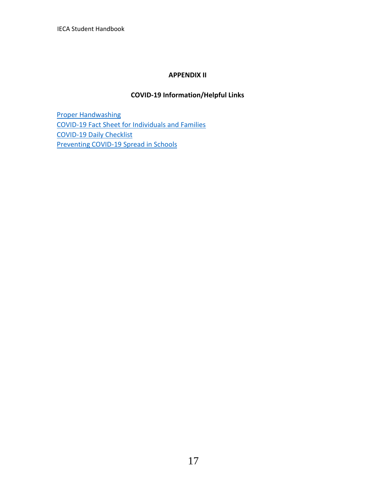IECA Student Handbook

#### **APPENDIX II**

#### **COVID-19 Information/Helpful Links**

[Proper Handwashing](https://srce.ca/sites/default/files/Hand%20Washing%20Poster%20ENGLISH.PDF) [COVID-19 Fact Sheet for Individuals and Families](https://srce.ca/sites/default/files/COVID-19%20Fact%20Sheet_Families_Eng%20PRINT.PDF) [COVID-19 Daily Checklist](https://novascotia.ca/coronavirus/docs/Daily-COVID-checklist-en.pdf) [Preventing COVID-19 Spread in Schools](https://srce.ca/sites/default/files/Preventing%20COVID-19%20Spread%20in%20Schools%20-%20Families%20-%20Fact-sheet-October-6-2020.pdf)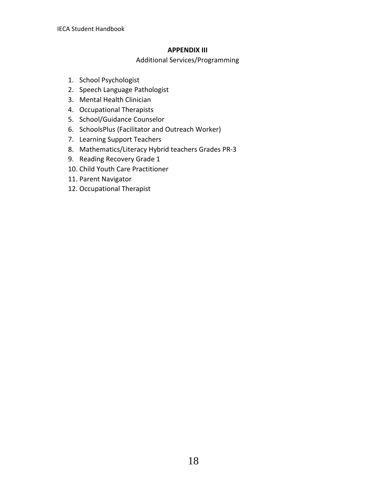#### **APPENDIX III**

Additional Services/Programming

- 1. School Psychologist
- 2. Speech Language Pathologist
- 3. Mental Health Clinician
- 4. Occupational Therapists
- 5. School/Guidance Counselor
- 6. SchoolsPlus (Facilitator and Outreach Worker)
- 7. Learning Support Teachers
- 8. Mathematics/Literacy Hybrid teachers Grades PR-3
- 9. Reading Recovery Grade 1
- 10. Child Youth Care Practitioner
- 11. Parent Navigator
- 12. Occupational Therapist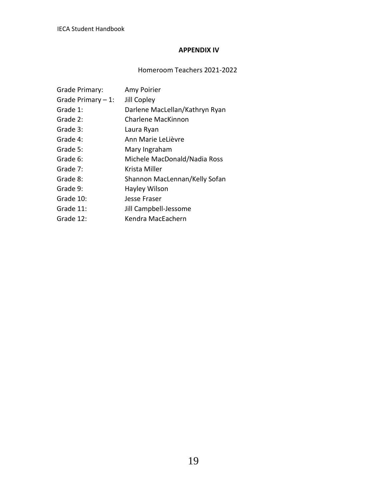#### **APPENDIX IV**

### Homeroom Teachers 2021-2022

| Grade Primary:       | Amy Poirier                    |
|----------------------|--------------------------------|
| Grade Primary $-1$ : | Jill Copley                    |
| Grade 1:             | Darlene MacLellan/Kathryn Ryan |
| Grade 2:             | Charlene MacKinnon             |
| Grade 3:             | Laura Ryan                     |
| Grade 4:             | Ann Marie LeLièvre             |
| Grade 5:             | Mary Ingraham                  |
| Grade 6:             | Michele MacDonald/Nadia Ross   |
| Grade 7:             | Krista Miller                  |
| Grade 8:             | Shannon MacLennan/Kelly Sofan  |
| Grade 9:             | Hayley Wilson                  |
| Grade 10:            | Jesse Fraser                   |
| Grade 11:            | Jill Campbell-Jessome          |
| Grade 12:            | Kendra MacEachern              |
|                      |                                |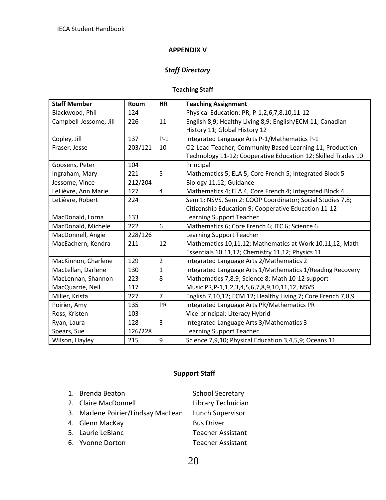#### **APPENDIX V**

## *Staff Directory*

#### **Teaching Staff**

| <b>Staff Member</b>    | Room    | <b>HR</b>      | <b>Teaching Assignment</b>                                    |  |  |
|------------------------|---------|----------------|---------------------------------------------------------------|--|--|
| Blackwood, Phil        | 124     |                | Physical Education: PR, P-1,2,6,7,8,10,11-12                  |  |  |
| Campbell-Jessome, Jill | 226     | 11             | English 8,9; Healthy Living 8,9; English/ECM 11; Canadian     |  |  |
|                        |         |                | History 11; Global History 12                                 |  |  |
| Copley, Jill           | 137     | $P-1$          | Integrated Language Arts P-1/Mathematics P-1                  |  |  |
| Fraser, Jesse          | 203/121 | 10             | O2-Lead Teacher; Community Based Learning 11, Production      |  |  |
|                        |         |                | Technology 11-12; Cooperative Education 12; Skilled Trades 10 |  |  |
| Goosens, Peter         | 104     |                | Principal                                                     |  |  |
| Ingraham, Mary         | 221     | 5              | Mathematics 5; ELA 5; Core French 5; Integrated Block 5       |  |  |
| Jessome, Vince         | 212/204 |                | Biology 11,12; Guidance                                       |  |  |
| LeLièvre, Ann Marie    | 127     | $\overline{a}$ | Mathematics 4; ELA 4, Core French 4; Integrated Block 4       |  |  |
| LeLièvre, Robert       | 224     |                | Sem 1: NSVS. Sem 2: COOP Coordinator; Social Studies 7,8;     |  |  |
|                        |         |                | Citizenship Education 9; Cooperative Education 11-12          |  |  |
| MacDonald, Lorna       | 133     |                | Learning Support Teacher                                      |  |  |
| MacDonald, Michele     | 222     | 6              | Mathematics 6; Core French 6; ITC 6; Science 6                |  |  |
| MacDonnell, Angie      | 228/126 |                | Learning Support Teacher                                      |  |  |
| MacEachern, Kendra     | 211     | 12             | Mathematics 10,11,12; Mathematics at Work 10,11,12; Math      |  |  |
|                        |         |                | Essentials 10,11,12; Chemistry 11,12; Physics 11              |  |  |
| MacKinnon, Charlene    | 129     | $\overline{2}$ | Integrated Language Arts 2/Mathematics 2                      |  |  |
| MacLellan, Darlene     | 130     | $\mathbf{1}$   | Integrated Language Arts 1/Mathematics 1/Reading Recovery     |  |  |
| MacLennan, Shannon     | 223     | 8              | Mathematics 7,8,9; Science 8; Math 10-12 support              |  |  |
| MacQuarrie, Neil       | 117     |                | Music PR, P-1, 1, 2, 3, 4, 5, 6, 7, 8, 9, 10, 11, 12, NSVS    |  |  |
| Miller, Krista         | 227     | $\overline{7}$ | English 7,10,12; ECM 12; Healthy Living 7; Core French 7,8,9  |  |  |
| Poirier, Amy           | 135     | PR             | Integrated Language Arts PR/Mathematics PR                    |  |  |
| Ross, Kristen          | 103     |                | Vice-principal; Literacy Hybrid                               |  |  |
| Ryan, Laura            | 128     | $\overline{3}$ | Integrated Language Arts 3/Mathematics 3                      |  |  |
| Spears, Sue            | 126/228 |                | Learning Support Teacher                                      |  |  |
| Wilson, Hayley         | 215     | 9              | Science 7,9,10; Physical Education 3,4,5,9; Oceans 11         |  |  |

## **Support Staff**

| 1. Brenda Beaton                   | <b>School Secretary</b>  |
|------------------------------------|--------------------------|
| 2. Claire MacDonnell               | Library Technician       |
| 3. Marlene Poirier/Lindsay MacLean | Lunch Supervisor         |
| 4. Glenn MacKay                    | <b>Bus Driver</b>        |
| 5. Laurie LeBlanc                  | <b>Teacher Assistant</b> |
| 6. Yvonne Dorton                   | <b>Teacher Assistant</b> |

20